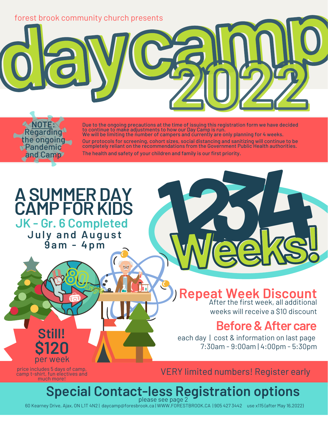

to continue to make adjustments to how our Day Camp is run.<br>We will be limiting the number of campers and currently are only planning for 4 weeks. Our protocols for screening, cohort sizes, social distancing and sanitizing will continue to be completely reliant on the recommendations from the Government Public Health authorities.

The health and safety of your children and family is our first priority.

# **<sup>g</sup> <sup>u</sup> <sup>s</sup> <sup>t</sup> 123 ASUMMERDAY CAMPFORKIDS JK - Gr. 6 Completed**

**Pandemic** and Camp

> **July and Au 9 a m - 4 p m**

> > **80days**

 $\overline{\text{bd}}$ 

### After the first week, all additional **Repeat Week Discount**

**Week4s!**

weeks will receive a \$10 discount

### **Before&Aftercare**

each day | cost & information on last page 7:30am - 9:00am | 4:00pm - 5:30pm

price includes 5 days of camp, camp t-shirt, fun electives and much more!

per week

**Still!**

**\$120**

VERY limited numbers! Register early

### **Special Contact-less Registration options** please see page 2

60 Kearney Drive, Ajax, ON L1T 4N2 | daycamp@foresbrook.ca | WWW.FORESTBROOK.CA | 905 427 3442 use x115 (after May 16,2022)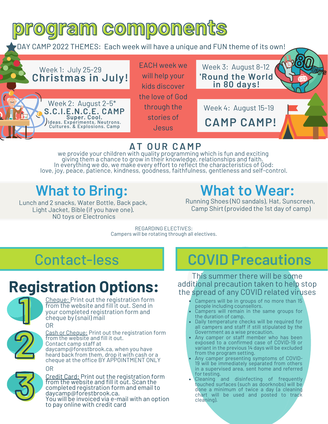

### **AT OUR CAMP**

we provide your children with quality programming which is fun and exciting giving them a chance to grow in their knowledge, relationships and faith. In everything we do, we make every effort to reflect the characteristics of God: love, joy, peace, patience, kindness, goodness, faithfulness, gentleness and self-control.

Lunch and 2 snacks, Water Bottle, Back pack, Light Jacket, Bible (if you have one). NO toys or Electronics

## **What to Bring: What to Wear:**

Running Shoes (NO sandals), Hat, Sunscreen, Camp Shirt (provided the 1st day of camp)

REGARDING ELECTIVES: Campers will be rotating through all electives.

## Contact-less

# **Registration Options:**



Cheque: Print out the registration form from the website and fill it out. Send in your completed registration form and cheque by (snail) mail OR



Cash or Cheque: Print out the registration form from the website and fill it out. Contact camp staff at daycamp@forestbrook.ca, when you have heard back from them, drop it with cash or a Cash or Cheque: Print out the registration form<br>from the website and fill it out.<br>Contact camp staff at<br>daycamp@forestbrook.ca, when you have<br>heard back from them, drop it with cash or a<br>cheque at the office BY APPOINTMENT

OR



Credit Card: Print out the registration form from the website and fill it out. Scan the completed registration form and email to daycamp@forestbrook.ca. You will be invoiced via e-mail with an option to pay online with credit card

### **COVID Precautions**

This summer there will be some additional precaution taken to help stop the spread of any COVID related viruses

- Campers will be in groups of no more than 15 people including counsellors.
- Campers will remain in the same groups for the duration of camp.
- Daily temperature checks will be required for all campers and staff if still stipulated by the Government as a wise precaution.
- Any camper or staff member who has been exposed to a confirmed case of COVID-19 or variant in the previous 14 days will be excluded from the program setting.
- Any camper presenting symptoms of COVID-19 will be immediately separated from others in a supervised area, sent home and referred for testing.
- Cleaning and disinfecting of frequently touched surfaces (such as doorknobs) will be done a minimum of twice a day (a cleaning chart will be used and posted to track cleaning).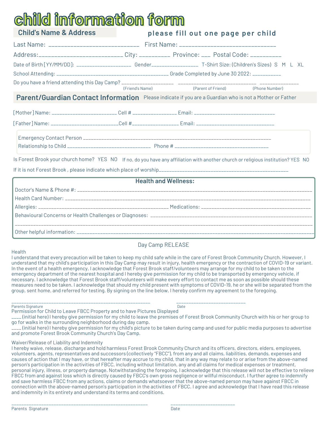# **child information form**

| <b>Child's Name &amp; Address</b>                                                                                                | please fill out one page per child                |  |  |
|----------------------------------------------------------------------------------------------------------------------------------|---------------------------------------------------|--|--|
|                                                                                                                                  |                                                   |  |  |
| Address:___________________________City: ____________ Province: ____ Postal Code: ___________                                    |                                                   |  |  |
| Date of Birth [YY/MM/DD]: _________________________ Gender_______________________ T-Shirt Size: (Children's Sizes) S M L XL      |                                                   |  |  |
|                                                                                                                                  |                                                   |  |  |
|                                                                                                                                  | (Friend's Name) (Parent of Friend) (Phone Number) |  |  |
| Parent/Guardian Contact Information Please indicate if you are a Guardian who is not a Mother or Father                          |                                                   |  |  |
|                                                                                                                                  |                                                   |  |  |
| [Father]Name: _________________________Cell #__________________Email: _____________________________                              |                                                   |  |  |
|                                                                                                                                  |                                                   |  |  |
|                                                                                                                                  |                                                   |  |  |
| Is Forest Brook your church home? YES NO If no, do you have any affiliation with another church or religious institution? YES NO |                                                   |  |  |
|                                                                                                                                  |                                                   |  |  |

#### **Health and Wellness:**

#### Day Camp RELEASE

#### Health

I understand that every precaution will be taken to keep my child safe while in the care of Forest Brook Community Church. However, I understand that my child's participation in this Day Camp may result in injury, health emergency or the contraction of COVID-19 or variant. In the event of a health emergency, I acknowledge that Forest Brook staff/volunteers may arrange for my child to be taken to the emergency department of the nearest hospital and I hereby give permission for my child to be transported by emergency vehicle, if necessary. I acknowledge that Forest Brook staff/volunteers will make every effort to contact me as soon as possible should these measures need to be taken. I acknowledge that should my child present with symptoms of COVID-19, he or she will be separated from the group, sent home, and referred for testing. By signing on the line below, I hereby confirm my agreement to the foregoing.

Parents Signature Date Communications and the Date Communications of the Date Date Date

\_\_\_\_\_\_\_\_\_\_\_\_\_\_\_\_\_\_\_\_\_\_\_\_\_\_\_\_\_\_\_\_\_\_\_\_\_\_\_\_\_\_\_\_\_\_\_\_\_\_\_\_\_\_\_\_ \_\_\_\_\_\_\_\_\_\_\_\_\_\_\_\_\_\_\_\_\_\_\_\_\_\_\_\_

Permission for Child to Leave FBCC Property and to have Pictures Displayed

\_\_\_\_ (initial here) I hereby give permission for my child to leave the premises of Forest Brook Community Church with his or her group to go for walks in the surrounding neighborhood during day camp.

\_\_\_\_ (initial here) I hereby give permission for my child's picture to be taken during camp and used for public media purposes to advertise and promote Forest Brook Community Church's Day Camp.

#### Waiver/Release of Liability and Indemnity

I hereby waive, release, discharge and hold harmless Forest Brook Community Church and its officers, directors, elders, employees, volunteers, agents, representatives and successors (collectively "FBCC"), from any and all claims, liabilities, demands, expenses and causes of action that I may have, or that hereafter may accrue to my child, that in any way may relate to or arise from the above-named person's participation in the activities of FBCC, including without limitation, any and all claims for medical expenses or treatment, personal injury, illness, or property damage. Notwithstanding the foregoing, I acknowledge that this release will not be effective to relieve FBCC from and against loss which is directly caused by FBCC's own gross negligence or willful misconduct. I further agree to indemnify and save harmless FBCC from any actions, claims or demands whatsoever that the above-named person may have against FBCC in connection with the above-named person's participation in the activities of FBCC. I agree and acknowledge that I have read this release and indemnity in its entirety and understand its terms and conditions.